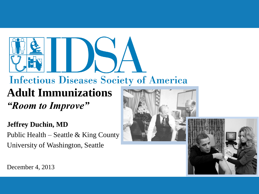# **Infectious Diseases Society of America Adult Immunizations** *"Room to Improve"*

**Jeffrey Duchin, MD** Public Health – Seattle & King County University of Washington, Seattle



December 4, 2013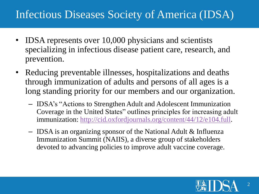## Infectious Diseases Society of America (IDSA)

- IDSA represents over 10,000 physicians and scientists specializing in infectious disease patient care, research, and prevention.
- Reducing preventable illnesses, hospitalizations and deaths through immunization of adults and persons of all ages is a long standing priority for our members and our organization.
	- IDSA's "Actions to Strengthen Adult and Adolescent Immunization Coverage in the United States" outlines principles for increasing adult immunization:<http://cid.oxfordjournals.org/content/44/12/e104.full>.
	- IDSA is an organizing sponsor of the National Adult & Influenza Immunization Summit (NAIIS), a diverse group of stakeholders devoted to advancing policies to improve adult vaccine coverage.

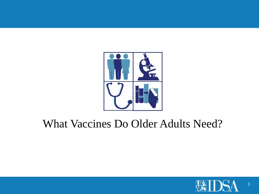

# What Vaccines Do Older Adults Need?

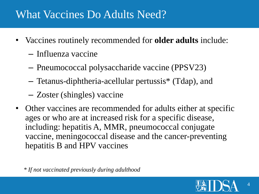#### What Vaccines Do Adults Need?

- Vaccines routinely recommended for **older adults** include:
	- Influenza vaccine
	- Pneumococcal polysaccharide vaccine (PPSV23)
	- Tetanus-diphtheria-acellular pertussis\* (Tdap), and
	- Zoster (shingles) vaccine
- Other vaccines are recommended for adults either at specific ages or who are at increased risk for a specific disease, including: hepatitis A, MMR, pneumococcal conjugate vaccine, meningococcal disease and the cancer-preventing hepatitis B and HPV vaccines

*\* If not vaccinated previously during adulthood*

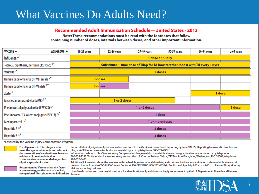#### What Vaccines Do Adults Need?

#### Recommended Adult Immunization Schedule-United States - 2013

Note: These recommendations must be read with the footnotes that follow containing number of doses, intervals between doses, and other important information.

| <b>AGE GROUP ►</b><br>VACCINE V                          | 19-21 years                                                                    | 22-26 years | 27-49 years | 50-59 years | 60-64 years | $\geq 65$ years |  |  |
|----------------------------------------------------------|--------------------------------------------------------------------------------|-------------|-------------|-------------|-------------|-----------------|--|--|
| Influenza $2^*$                                          | 1 dose annually                                                                |             |             |             |             |                 |  |  |
| Tetanus, diphtheria, pertussis (Td/Tdap) 3,*             | Substitute 1-time dose of Tdap for Td booster; then boost with Td every 10 yrs |             |             |             |             |                 |  |  |
| Varicella <sup>4,*</sup>                                 | 2 doses                                                                        |             |             |             |             |                 |  |  |
| Human papillomavirus (HPV) Female 5,*                    | 3 doses                                                                        |             |             |             |             |                 |  |  |
| Human papillomavirus (HPV) Male 5,*                      | 3 doses                                                                        |             |             |             |             |                 |  |  |
| Zoster <sup>6</sup>                                      |                                                                                |             |             |             | 1 dose      |                 |  |  |
| Measles, mumps, rubella (MMR) <sup>7,*</sup>             | 1 or 2 doses                                                                   |             |             |             |             |                 |  |  |
| Pneumococcal polysaccharide (PPSV23) 8,9                 | 1 or 2 doses                                                                   |             |             |             |             | 1 dose          |  |  |
| Pneumococcal 13-valent conjugate (PCV13) <sup>10,*</sup> | 1 dose                                                                         |             |             |             |             |                 |  |  |
| Meningococcal <sup>11,*</sup>                            | or more doses                                                                  |             |             |             |             |                 |  |  |
| Hepatitis A $12,$ *                                      | 2 doses                                                                        |             |             |             |             |                 |  |  |
| Hepatitis B $13,$ *                                      |                                                                                |             |             | 3 doses     |             |                 |  |  |

\*Covered by the Vaccine Injury Compensation Program



For all persons in this category who meet the age requirements and who lack documentation of vaccination or have no evidence of previous infection; zoster vaccine recommended regardless of prior episode of zoster



Recommended if some other risk factor is present (e.g., on the basis of medical, occupational, lifestyle, or other indication)

Report all clinically significant postvaccination reactions to the Vaccine Adverse Event Reporting System (VAERS). Reporting forms and instructions on filing a VAERS report are available at www.vaers.hhs.gov or by telephone, 800-822-7967.

Information on how to file a Vaccine Injury Compensation Program claim is available at www.hrsa.gov/vaccinecompensation or by telephone, 800-338-2382. To file a claim for vaccine injury, contact the U.S. Court of Federal Claims, 717 Madison Place, N.W., Washington, D.C. 20005; telephone, 202-357-6400.

Additional information about the vaccines in this schedule, extent of available data, and contraindications for vaccination is also available at www.cdc. gov/vaccines or from the CDC-INFO Contact Center at 800-CDC-INFO (800-232-4636) in English and Spanish, 8:00 a.m. - 8:00 p.m. Eastern Time, Monday - Friday, excluding holidays.

Use of trade names and commercial sources is for identification only and does not imply endorsement by the U.S. Department of Health and Human Services.

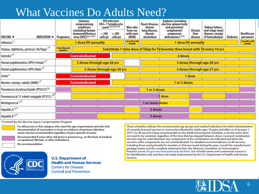## What Vaccines Do Adults Need?

|                                                         |                                                                                                                 | Immuno-<br>compromising<br>conditions<br>(excluding human      | <b>HIV</b> infection<br>CD4+T lymphocyte<br>count 4,6,7,10,14,15             | Men who<br>have sex          | Heart disease,<br>chronic<br>lung disease, | Asplenia (including<br>elective splenectomy<br>and persistent<br>complement | Chronic          | Kidney failure,<br>end-stage renal  |                 |                                |
|---------------------------------------------------------|-----------------------------------------------------------------------------------------------------------------|----------------------------------------------------------------|------------------------------------------------------------------------------|------------------------------|--------------------------------------------|-----------------------------------------------------------------------------|------------------|-------------------------------------|-----------------|--------------------------------|
| VACCINE V<br>INDICATION                                 | Pregnancy                                                                                                       | <i>immunodeficiency</i><br>virus [HIV]) <sup>4,6,7,10,15</sup> | < 200<br>$\geq 200$<br>$\text{cells}/\mu\text{L}$ $\text{cells}/\mu\text{L}$ | with men<br>(MSM)            | chronic<br>alcoholism                      | component<br>deficiencies) 10,14                                            | liver<br>disease | disease, receipt<br>of hemodialysis | <b>Diabetes</b> | <b>Healthcare</b><br>personnel |
| Influenza $2^*$                                         | <b>1 dose IIV annually</b>                                                                                      |                                                                |                                                                              | dose IIV or LAIV<br>annually | <b>1 dose IIV annually</b>                 |                                                                             |                  |                                     |                 | 1 dose IIV or LAIV<br>annually |
| Tetanus, diphtheria, pertussis (Td/Tdap) 3,*            | 1 dose Tdap each<br>Substitute 1-time dose of Tdap for Td booster; then boost with Td every 10 yrs<br>pregnancy |                                                                |                                                                              |                              |                                            |                                                                             |                  |                                     |                 |                                |
| Varicella <sup>4,*</sup>                                |                                                                                                                 | <b>Contraindicated</b>                                         |                                                                              |                              |                                            | 2 doses                                                                     |                  |                                     |                 |                                |
| Human papillomavirus (HPV) Female 5,*                   |                                                                                                                 |                                                                | 3 doses through age 26 yrs                                                   |                              |                                            |                                                                             |                  | 3 doses through age 26 yrs          |                 |                                |
| Human papillomavirus (HPV) Male 5,*                     |                                                                                                                 |                                                                | 3 doses through age 26 yrs                                                   |                              |                                            |                                                                             |                  | 3 doses through age 21 yrs          |                 |                                |
| Zoster <sup>6</sup>                                     |                                                                                                                 | <b>Contraindicated</b>                                         |                                                                              |                              |                                            |                                                                             | 1 dose           |                                     |                 |                                |
| Measles, mumps, rubella (MMR) <sup>7,*</sup>            |                                                                                                                 | <b>Contraindicated</b>                                         |                                                                              |                              |                                            | 1 or 2 doses                                                                |                  |                                     |                 |                                |
| Pneumococcal polysaccharide (PPSV23) 8,9                |                                                                                                                 |                                                                |                                                                              |                              | 1 or 2 doses                               |                                                                             |                  |                                     |                 |                                |
| Pneumococcal 13-valent conjugate (PCV13) <sup>10,</sup> |                                                                                                                 |                                                                |                                                                              |                              |                                            | dose                                                                        |                  |                                     |                 |                                |
| Meningococcal 11,*                                      |                                                                                                                 |                                                                |                                                                              |                              | or more doses                              |                                                                             |                  |                                     |                 |                                |
| Hepatitis A $12,*$                                      |                                                                                                                 |                                                                |                                                                              |                              | 2 doses                                    |                                                                             |                  |                                     |                 |                                |
| Hepatitis B $^{13,*}$                                   |                                                                                                                 |                                                                |                                                                              |                              | 3 doses                                    |                                                                             |                  |                                     |                 |                                |

\*Covered by the Vaccine Injury Compensation Program

For all persons in this category who meet the age requirements and who lack documentation of vaccination or have no evidence of previous infection; zoster vaccine recommended regardless of prior episode of zoster

Recommended if some other risk factor is present (e.g., on the basis of medical, occupational, lifestyle, or other indications)

No recommendation



**U.S. Department of Health and Human Services Centers for Disease Control and Prevention** 

These schedules indicate the recommended age groups and medical indications for which administration of currently licensed vaccines is commonly indicated for adults ages 19 years and older, as of January 1, 2013. For all vaccines being recommended on the Adult Immunization Schedule: a vaccine series does not need to be restarted, regardless of the time that has elapsed between doses. Licensed combination vaccines may be used whenever any components of the combination are indicated and when the vaccine's other components are not contraindicated. For detailed recommendations on all vaccines, including those used primarily for travelers or that are issued during the year, consult the manufacturers' package inserts and the complete statements from the Advisory Committee on Immunization Practices (www.cdc.gov/vaccines/pubs/acip-list.htm). Use of trade names and commercial sources is for identification only and does not imply endorsement by the U.S. Department of Health and Human Services.



6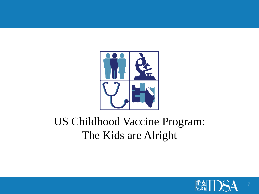

# US Childhood Vaccine Program: The Kids are Alright

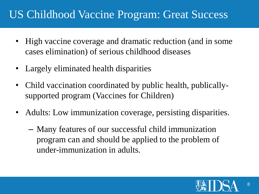## US Childhood Vaccine Program: Great Success

- High vaccine coverage and dramatic reduction (and in some cases elimination) of serious childhood diseases
- Largely eliminated health disparities
- Child vaccination coordinated by public health, publicallysupported program (Vaccines for Children)
- Adults: Low immunization coverage, persisting disparities.
	- Many features of our successful child immunization program can and should be applied to the problem of under-immunization in adults.

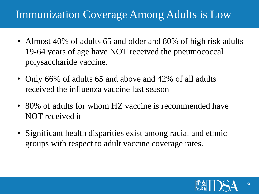## Immunization Coverage Among Adults is Low

- Almost 40% of adults 65 and older and 80% of high risk adults 19-64 years of age have NOT received the pneumococcal polysaccharide vaccine.
- Only 66% of adults 65 and above and 42% of all adults received the influenza vaccine last season
- 80% of adults for whom HZ vaccine is recommended have NOT received it
- Significant health disparities exist among racial and ethnic groups with respect to adult vaccine coverage rates.

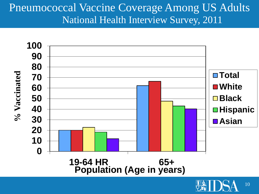#### Pneumococcal Vaccine Coverage Among US Adults National Health Interview Survey, 2011

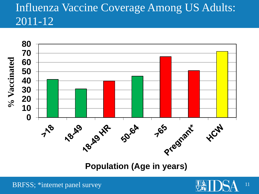# Influenza Vaccine Coverage Among US Adults: 2011-12



**Population (Age in years)**

![](_page_10_Picture_3.jpeg)

![](_page_10_Picture_4.jpeg)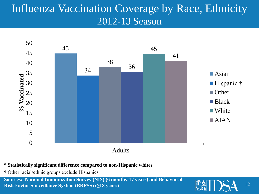## Influenza Vaccination Coverage by Race, Ethnicity 2012-13 Season

![](_page_11_Figure_1.jpeg)

#### **\* Statistically significant difference compared to non-Hispanic whites**

† Other racial/ethnic groups exclude Hispanics

**Sources: National Immunization Survey (NIS) (6 months-17 years) and Behavioral Risk Factor Surveillance System (BRFSS) (≥18 years)**

![](_page_11_Picture_5.jpeg)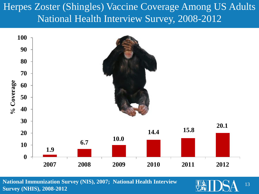#### Herpes Zoster (Shingles) Vaccine Coverage Among US Adults National Health Interview Survey, 2008-2012

![](_page_12_Figure_1.jpeg)

**National Immunization Survey (NIS), 2007; National Health Interview Survey (NHIS), 2008-2012**

![](_page_12_Picture_3.jpeg)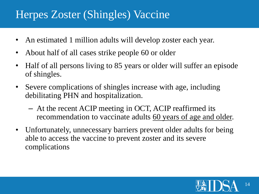#### Herpes Zoster (Shingles) Vaccine

- An estimated 1 million adults will develop zoster each year.
- About half of all cases strike people 60 or older
- Half of all persons living to 85 years or older will suffer an episode of shingles.
- Severe complications of shingles increase with age, including debilitating PHN and hospitalization.
	- At the recent ACIP meeting in OCT, ACIP reaffirmed its recommendation to vaccinate adults 60 years of age and older.
- Unfortunately, unnecessary barriers prevent older adults for being able to access the vaccine to prevent zoster and its severe complications

![](_page_13_Picture_7.jpeg)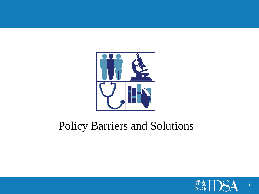![](_page_14_Picture_0.jpeg)

# Policy Barriers and Solutions

![](_page_14_Picture_2.jpeg)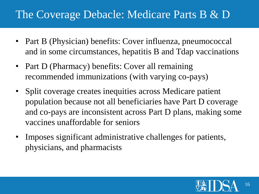## The Coverage Debacle: Medicare Parts B & D

- Part B (Physician) benefits: Cover influenza, pneumococcal and in some circumstances, hepatitis B and Tdap vaccinations
- Part D (Pharmacy) benefits: Cover all remaining recommended immunizations (with varying co-pays)
- Split coverage creates inequities across Medicare patient population because not all beneficiaries have Part D coverage and co-pays are inconsistent across Part D plans, making some vaccines unaffordable for seniors
- Imposes significant administrative challenges for patients, physicians, and pharmacists

![](_page_15_Picture_5.jpeg)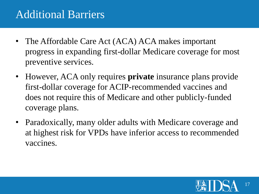## Additional Barriers

- The Affordable Care Act (ACA) ACA makes important progress in expanding first-dollar Medicare coverage for most preventive services.
- However, ACA only requires **private** insurance plans provide first-dollar coverage for ACIP-recommended vaccines and does not require this of Medicare and other publicly-funded coverage plans.
- Paradoxically, many older adults with Medicare coverage and at highest risk for VPDs have inferior access to recommended vaccines.

![](_page_16_Picture_4.jpeg)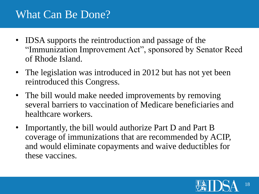### What Can Be Done?

- IDSA supports the reintroduction and passage of the "Immunization Improvement Act", sponsored by Senator Reed of Rhode Island.
- The legislation was introduced in 2012 but has not yet been reintroduced this Congress.
- The bill would make needed improvements by removing several barriers to vaccination of Medicare beneficiaries and healthcare workers.
- Importantly, the bill would authorize Part D and Part B coverage of immunizations that are recommended by ACIP, and would eliminate copayments and waive deductibles for these vaccines.

![](_page_17_Picture_5.jpeg)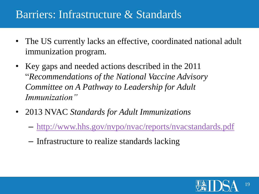#### Barriers: Infrastructure & Standards

- The US currently lacks an effective, coordinated national adult immunization program.
- Key gaps and needed actions described in the 2011 "*Recommendations of the National Vaccine Advisory Committee on A Pathway to Leadership for Adult Immunization"*
- 2013 NVAC *Standards for Adult Immunizations*
	- <http://www.hhs.gov/nvpo/nvac/reports/nvacstandards.pdf>
	- Infrastructure to realize standards lacking

![](_page_18_Picture_6.jpeg)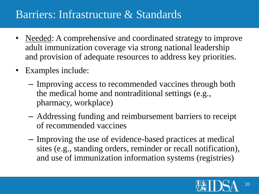#### Barriers: Infrastructure & Standards

- Needed: A comprehensive and coordinated strategy to improve adult immunization coverage via strong national leadership and provision of adequate resources to address key priorities.
- Examples include:
	- Improving access to recommended vaccines through both the medical home and nontraditional settings (e.g., pharmacy, workplace)
	- Addressing funding and reimbursement barriers to receipt of recommended vaccines
	- Improving the use of evidence-based practices at medical sites (e.g., standing orders, reminder or recall notification), and use of immunization information systems (registries)

![](_page_19_Picture_6.jpeg)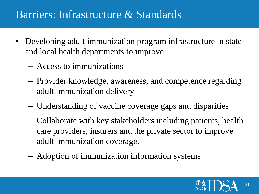#### Barriers: Infrastructure & Standards

- Developing adult immunization program infrastructure in state and local health departments to improve:
	- Access to immunizations
	- Provider knowledge, awareness, and competence regarding adult immunization delivery
	- Understanding of vaccine coverage gaps and disparities
	- Collaborate with key stakeholders including patients, health care providers, insurers and the private sector to improve adult immunization coverage.
	- Adoption of immunization information systems

![](_page_20_Picture_7.jpeg)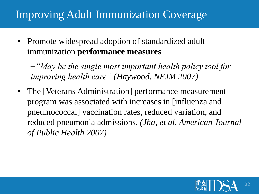# Improving Adult Immunization Coverage

• Promote widespread adoption of standardized adult immunization **performance measures**

–*"May be the single most important health policy tool for improving health care" (Haywood, NEJM 2007)*

• The [Veterans Administration] performance measurement program was associated with increases in [influenza and pneumococcal] vaccination rates, reduced variation, and reduced pneumonia admissions. *(Jha, et al. American Journal of Public Health 2007)*

![](_page_21_Picture_4.jpeg)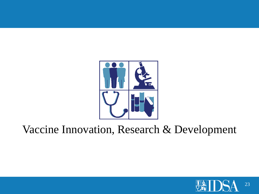![](_page_22_Picture_0.jpeg)

![](_page_22_Picture_2.jpeg)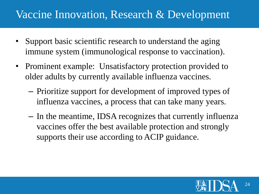- Support basic scientific research to understand the aging immune system (immunological response to vaccination).
- Prominent example: Unsatisfactory protection provided to older adults by currently available influenza vaccines.
	- Prioritize support for development of improved types of influenza vaccines, a process that can take many years.
	- In the meantime, IDSA recognizes that currently influenza vaccines offer the best available protection and strongly supports their use according to ACIP guidance.

![](_page_23_Picture_5.jpeg)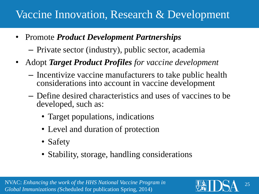- Promote *Product Development Partnerships*
	- Private sector (industry), public sector, academia
- Adopt *Target Product Profiles for vaccine development*
	- Incentivize vaccine manufacturers to take public health considerations into account in vaccine development
	- Define desired characteristics and uses of vaccines to be developed, such as:
		- Target populations, indications
		- Level and duration of protection
		- Safety
		- Stability, storage, handling considerations

![](_page_24_Picture_11.jpeg)